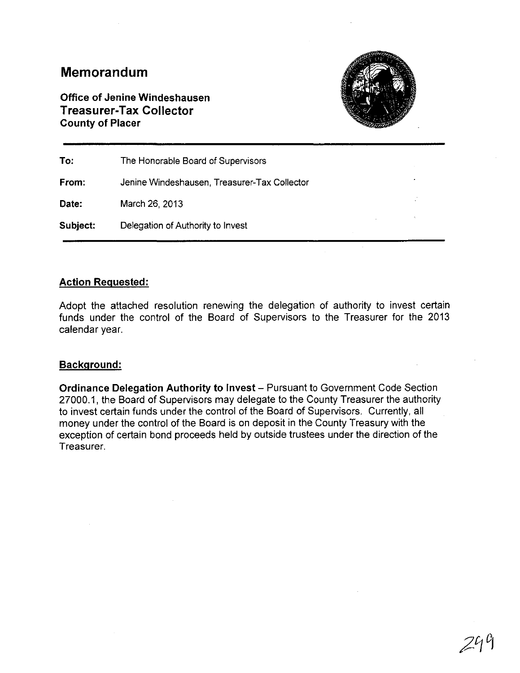# **Memorandum**

**Office of Jenine Windeshausen Treasurer-Tax Collector County of Placer**



| To:      | The Honorable Board of Supervisors           |  |
|----------|----------------------------------------------|--|
| From:    | Jenine Windeshausen, Treasurer-Tax Collector |  |
| Date:    | March 26, 2013                               |  |
| Subject: | Delegation of Authority to Invest            |  |

### **Action Reguested:**

Adopt the attached resolution renewing the delegation of authority to invest certain funds under the control of the Board of Supervisors to the Treasurer for the 2013 calendar year.

### **Background:**

**Ordinance Delegation Authority to Invest** - Pursuant to Government Code Section 27000.1, the Board of Supervisors may delegate to the County Treasurer the authority to invest certain funds under the control of the Board of Supervisors. Currently, all money under the control of the Board is on deposit in the County Treasury with the exception of certain bond proceeds held by outside trustees under the direction of the Treasurer.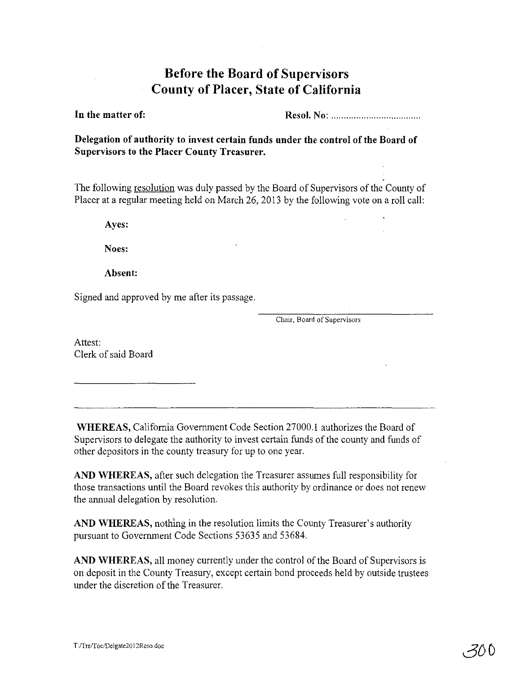# **Before the Board of Supervisors County of Placer, State of California**

**In** the matter of:

ResoI. No: .

Delegation of authority to invest certain funds under the control of the Board of Supervisors to the Placer County Treasurer.

The following resolution was duly passed by the Board of Supervisors of the County of Placer at a regular meeting held on March 26, 2013 by the following vote on a roll call:

Ayes:

Noes:

Absent:

Signed and approved by me after its passage.

Chair, Board of Supervisors

Attest: Clerk of said Board

WHEREAS, California Government Code Section 27000.1 authorizes the Board of Supervisors to delegate the authority to invest certain funds of the county and funds of other depositors in the county treasury for up to one year.

AND WHEREAS, after such delegation the Treasurer assumes full responsibility for those transactions until the Board revokes this authority by ordinance or does not renew the annual delegation by resolution.

AND WHEREAS, nothing in the resolution limits the County Treasurer's authority pursuant to Government Code Sections 53635 and 53684.

AND WHEREAS, all money currently under the control of the Board of Supervisors is on deposit in the County Treasury, except certain bond proceeds held by outside trustees under the discretion of the Treasurer.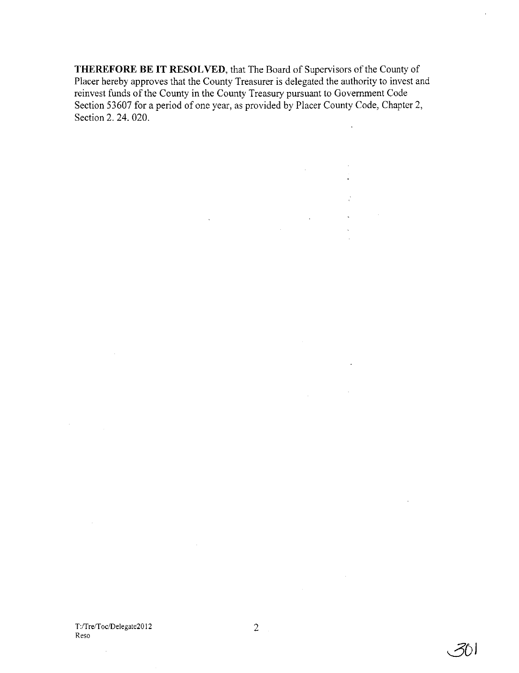**THEREFORE BE IT RESOLVED,** that The Board of Supervisors ofthe County of Placer hereby approves that the County Treasurer is delegated the authority to invest and reinvest funds of the County in the County Treasury pursuant to Government Code Section 53607 for a period of one year, as provided by Placer County Code, Chapter 2, Section 2. 24. 020.  $\ddot{\phantom{0}}$ 

 $\bar{z}$ 

 $\sim 10^{11}$ 

 $\Delta \phi$ 

 $\mathbb{R}^{n \times n}$ 

 $\Delta \sim 10^4$ 

 $\sim$   $\sim$ 

 $\sim 10^7$ 

 $\sim 10$ 

 $\sim 10^{11}$ 

**3D)**